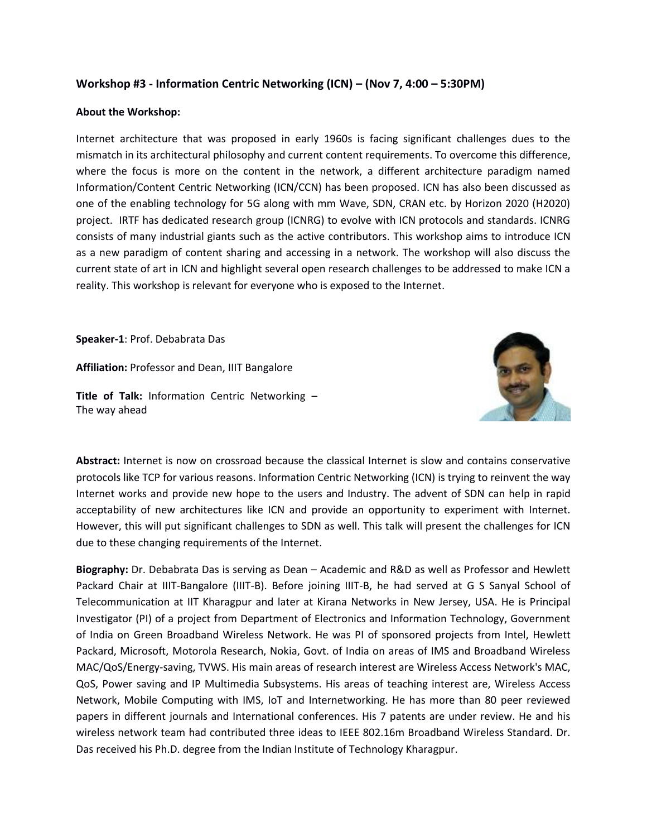## **Workshop #3 - Information Centric Networking (ICN) – (Nov 7, 4:00 – 5:30PM)**

## **About the Workshop:**

Internet architecture that was proposed in early 1960s is facing significant challenges dues to the mismatch in its architectural philosophy and current content requirements. To overcome this difference, where the focus is more on the content in the network, a different architecture paradigm named Information/Content Centric Networking (ICN/CCN) has been proposed. ICN has also been discussed as one of the enabling technology for 5G along with mm Wave, SDN, CRAN etc. by Horizon 2020 (H2020) project. IRTF has dedicated research group (ICNRG) to evolve with ICN protocols and standards. ICNRG consists of many industrial giants such as the active contributors. This workshop aims to introduce ICN as a new paradigm of content sharing and accessing in a network. The workshop will also discuss the current state of art in ICN and highlight several open research challenges to be addressed to make ICN a reality. This workshop is relevant for everyone who is exposed to the Internet.

**Speaker-1**: Prof. Debabrata Das

**Affiliation:** Professor and Dean, IIIT Bangalore

**Title of Talk:** Information Centric Networking – The way ahead



**Abstract:** Internet is now on crossroad because the classical Internet is slow and contains conservative protocols like TCP for various reasons. Information Centric Networking (ICN) is trying to reinvent the way Internet works and provide new hope to the users and Industry. The advent of SDN can help in rapid acceptability of new architectures like ICN and provide an opportunity to experiment with Internet. However, this will put significant challenges to SDN as well. This talk will present the challenges for ICN due to these changing requirements of the Internet.

**Biography:** Dr. Debabrata Das is serving as Dean – Academic and R&D as well as Professor and Hewlett Packard Chair at IIIT-Bangalore (IIIT-B). Before joining IIIT-B, he had served at G S Sanyal School of Telecommunication at IIT Kharagpur and later at Kirana Networks in New Jersey, USA. He is Principal Investigator (PI) of a project from Department of Electronics and Information Technology, Government of India on Green Broadband Wireless Network. He was PI of sponsored projects from Intel, Hewlett Packard, Microsoft, Motorola Research, Nokia, Govt. of India on areas of IMS and Broadband Wireless MAC/QoS/Energy-saving, TVWS. His main areas of research interest are Wireless Access Network's MAC, QoS, Power saving and IP Multimedia Subsystems. His areas of teaching interest are, Wireless Access Network, Mobile Computing with IMS, IoT and Internetworking. He has more than 80 peer reviewed papers in different journals and International conferences. His 7 patents are under review. He and his wireless network team had contributed three ideas to IEEE 802.16m Broadband Wireless Standard. Dr. Das received his Ph.D. degree from the Indian Institute of Technology Kharagpur.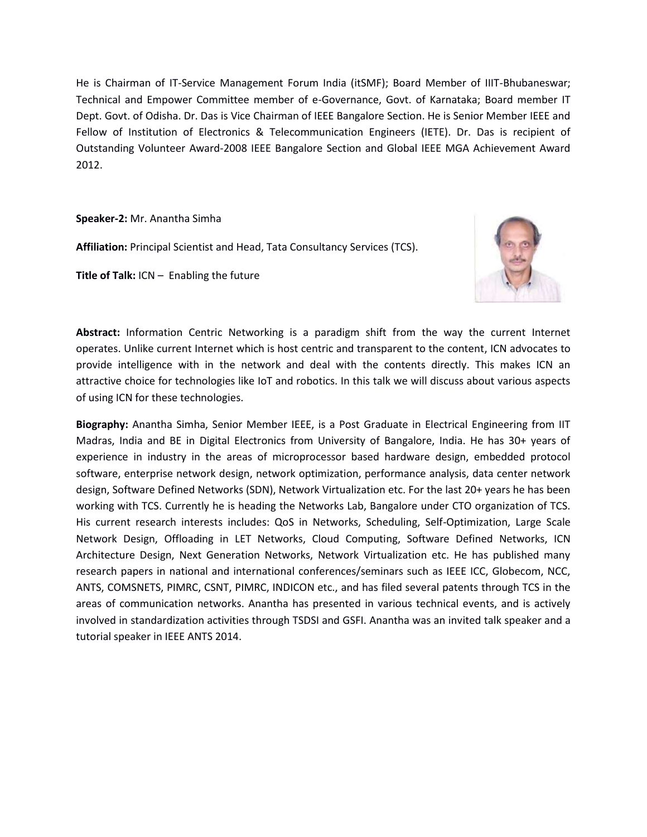He is Chairman of IT-Service Management Forum India (itSMF); Board Member of IIIT-Bhubaneswar; Technical and Empower Committee member of e-Governance, Govt. of Karnataka; Board member IT Dept. Govt. of Odisha. Dr. Das is Vice Chairman of IEEE Bangalore Section. He is Senior Member IEEE and Fellow of Institution of Electronics & Telecommunication Engineers (IETE). Dr. Das is recipient of Outstanding Volunteer Award-2008 IEEE Bangalore Section and Global IEEE MGA Achievement Award 2012.

**Speaker-2:** Mr. Anantha Simha

**Affiliation:** Principal Scientist and Head, Tata Consultancy Services (TCS).

**Title of Talk:** ICN – Enabling the future



**Abstract:** Information Centric Networking is a paradigm shift from the way the current Internet operates. Unlike current Internet which is host centric and transparent to the content, ICN advocates to provide intelligence with in the network and deal with the contents directly. This makes ICN an attractive choice for technologies like IoT and robotics. In this talk we will discuss about various aspects of using ICN for these technologies.

**Biography:** Anantha Simha, Senior Member IEEE, is a Post Graduate in Electrical Engineering from IIT Madras, India and BE in Digital Electronics from University of Bangalore, India. He has 30+ years of experience in industry in the areas of microprocessor based hardware design, embedded protocol software, enterprise network design, network optimization, performance analysis, data center network design, Software Defined Networks (SDN), Network Virtualization etc. For the last 20+ years he has been working with TCS. Currently he is heading the Networks Lab, Bangalore under CTO organization of TCS. His current research interests includes: QoS in Networks, Scheduling, Self-Optimization, Large Scale Network Design, Offloading in LET Networks, Cloud Computing, Software Defined Networks, ICN Architecture Design, Next Generation Networks, Network Virtualization etc. He has published many research papers in national and international conferences/seminars such as IEEE ICC, Globecom, NCC, ANTS, COMSNETS, PIMRC, CSNT, PIMRC, INDICON etc., and has filed several patents through TCS in the areas of communication networks. Anantha has presented in various technical events, and is actively involved in standardization activities through TSDSI and GSFI. Anantha was an invited talk speaker and a tutorial speaker in IEEE ANTS 2014.